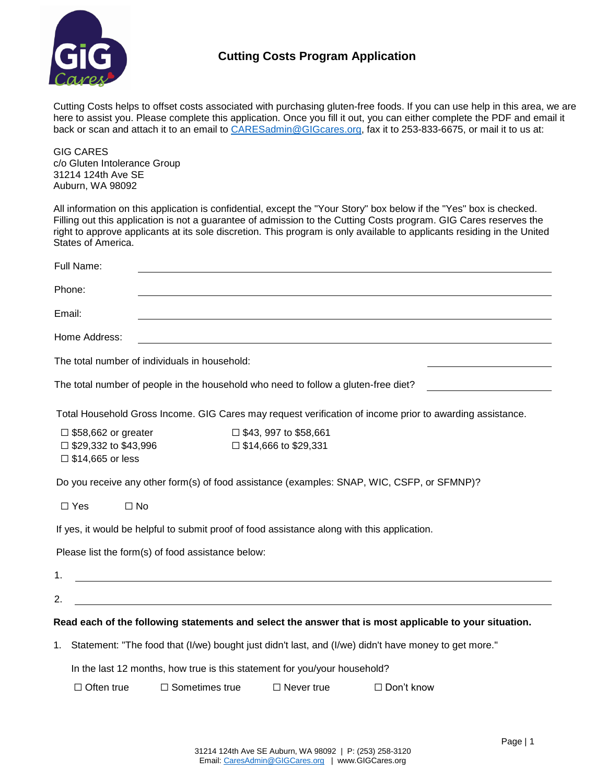

## **Cutting Costs Program Application**

Cutting Costs helps to offset costs associated with purchasing gluten-free foods. If you can use help in this area, we are here to assist you. Please complete this application. Once you fill it out, you can either complete the PDF and email it back or scan and attach it to an email to [CARESadmin@GIGcares.org,](mailto:CARESadmin@GIGcares.org) fax it to 253-833-6675, or mail it to us at:

GIG CARES c/o Gluten Intolerance Group 31214 124th Ave SE Auburn, WA 98092

All information on this application is confidential, except the "Your Story" box below if the "Yes" box is checked. Filling out this application is not a guarantee of admission to the Cutting Costs program. GIG Cares reserves the right to approve applicants at its sole discretion. This program is only available to applicants residing in the United States of America.

| Full Name:                                                                                    |                                                                                                                       |                                                                |                                                                                                          |
|-----------------------------------------------------------------------------------------------|-----------------------------------------------------------------------------------------------------------------------|----------------------------------------------------------------|----------------------------------------------------------------------------------------------------------|
| Phone:                                                                                        |                                                                                                                       |                                                                |                                                                                                          |
| Email:                                                                                        |                                                                                                                       |                                                                |                                                                                                          |
| Home Address:                                                                                 |                                                                                                                       |                                                                |                                                                                                          |
| The total number of individuals in household:                                                 |                                                                                                                       |                                                                |                                                                                                          |
| The total number of people in the household who need to follow a gluten-free diet?            |                                                                                                                       |                                                                |                                                                                                          |
|                                                                                               |                                                                                                                       |                                                                | Total Household Gross Income. GIG Cares may request verification of income prior to awarding assistance. |
| $\square$ \$58,662 or greater<br>$\square$ \$29,332 to \$43,996<br>$\square$ \$14,665 or less |                                                                                                                       | $\square$ \$43, 997 to \$58,661<br>$\Box$ \$14,666 to \$29,331 |                                                                                                          |
| Do you receive any other form(s) of food assistance (examples: SNAP, WIC, CSFP, or SFMNP)?    |                                                                                                                       |                                                                |                                                                                                          |
| $\square$ Yes<br>$\square$ No                                                                 |                                                                                                                       |                                                                |                                                                                                          |
| If yes, it would be helpful to submit proof of food assistance along with this application.   |                                                                                                                       |                                                                |                                                                                                          |
| Please list the form(s) of food assistance below:                                             |                                                                                                                       |                                                                |                                                                                                          |
| 1.                                                                                            | <u> 1989 - Johann Stoff, deutscher Stoffen und der Stoffen und der Stoffen und der Stoffen und der Stoffen und de</u> |                                                                |                                                                                                          |
| 2.                                                                                            |                                                                                                                       |                                                                |                                                                                                          |
|                                                                                               |                                                                                                                       |                                                                | Read each of the following statements and select the answer that is most applicable to your situation.   |
|                                                                                               |                                                                                                                       |                                                                | 1. Statement: "The food that (I/we) bought just didn't last, and (I/we) didn't have money to get more."  |
|                                                                                               | In the last 12 months, how true is this statement for you/your household?                                             |                                                                |                                                                                                          |
| $\Box$ Often true                                                                             | $\Box$ Sometimes true                                                                                                 | $\Box$ Never true                                              | $\Box$ Don't know                                                                                        |